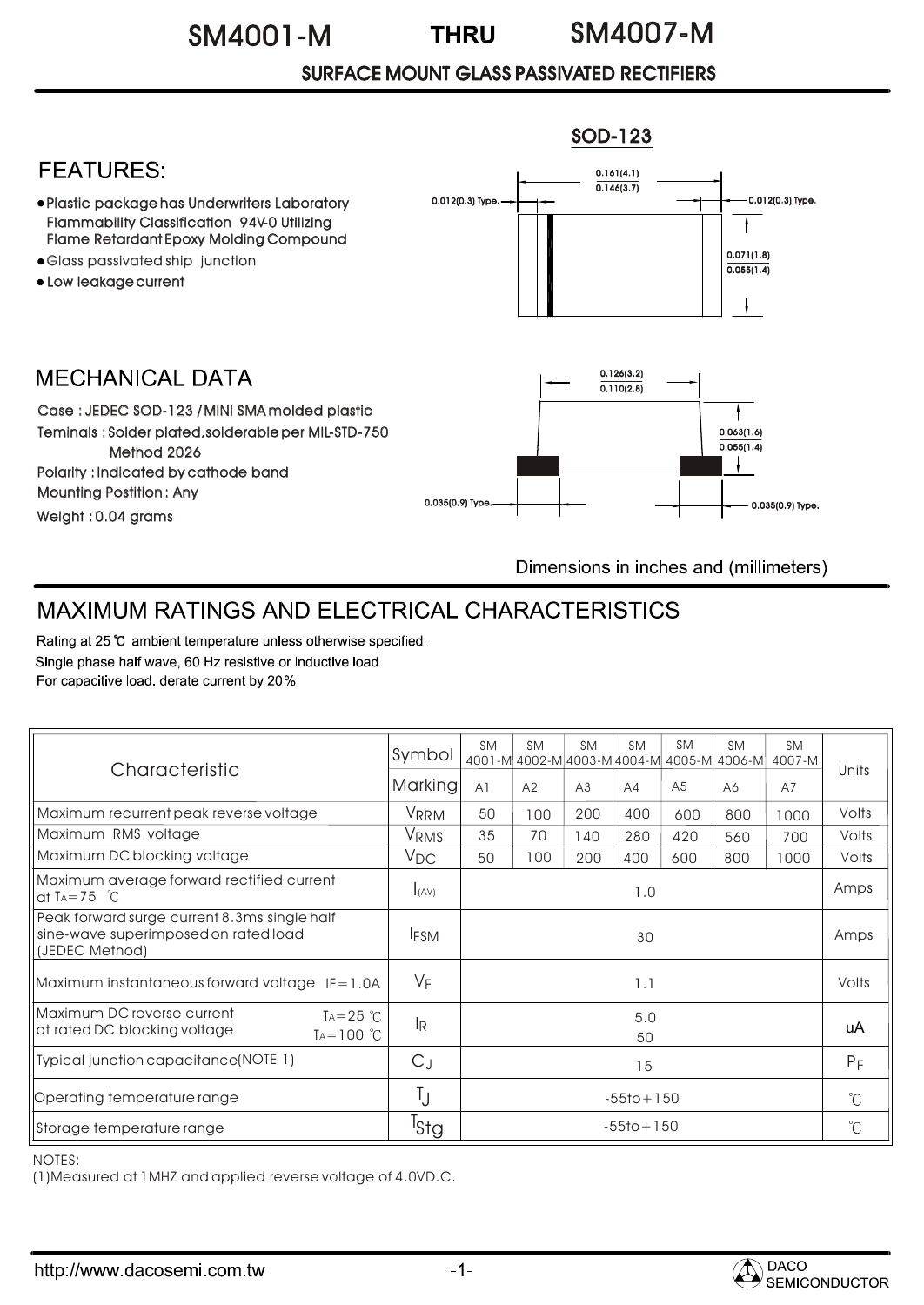## SM4001-M SM4007-M

## SURFACE MOUNT GLASS PASSIVATED RECTIFIERS



Dimensions in inches and (millimeters)

## MAXIMUM RATINGS AND ELECTRICAL CHARACTERISTICS

Rating at 25 °C ambient temperature unless otherwise specified. Single phase half wave, 60 Hz resistive or inductive load. For capacitive load. derate current by 20%.

| Characteristic                                                                                         | Symbol                    | <b>SM</b>      | <b>SM</b> | <b>SM</b> | <b>SM</b> | <b>SM</b>      | <b>SM</b><br>4001-M 4002-M 4003-M 4004-M 4005-M 4006-M | <b>SM</b><br>4007-M | Units        |
|--------------------------------------------------------------------------------------------------------|---------------------------|----------------|-----------|-----------|-----------|----------------|--------------------------------------------------------|---------------------|--------------|
|                                                                                                        | <b>Marking</b>            | A <sub>1</sub> | A2        | A3        | AA        | A <sub>5</sub> | A6                                                     | A7                  |              |
| Maximum recurrent peak reverse voltage                                                                 | VRRM                      | 50             | 100       | 200       | 400       | 600            | 800                                                    | 1000                | Volts        |
| Maximum RMS voltage                                                                                    | V <sub>RMS</sub>          | 35             | 70        | 140       | 280       | 420            | 560                                                    | 700                 | Volts        |
| Maximum DC blocking voltage                                                                            | $V_{DC}$                  | 50             | 100       | 200       | 400       | 600            | 800                                                    | 1000                | Volts        |
| Maximum average forward rectified current<br>at TA=75 $\degree$ C                                      | I(AV)                     | 1.0            |           |           |           |                |                                                        |                     | Amps         |
| Peak forward surge current 8.3ms single half<br>sine-wave superimposed on rated load<br>(JEDEC Method) | <b>IFSM</b>               | 30             |           |           |           |                |                                                        |                     | Amps         |
| Maximum instantaneous forward voltage $IF = 1.0A$                                                      | $V_F$                     | 1.1            |           |           |           |                |                                                        |                     | Volts        |
| Maximum DC reverse current<br>$Ta = 25$ °C<br>at rated DC blocking voltage<br>$TA = 100$ °C            | $\mathsf{I}_{\mathsf{R}}$ | 5.0<br>50      |           |           |           |                |                                                        |                     | uA           |
| Typical junction capacitance(NOTE 1)                                                                   | $C_J$                     | 15             |           |           |           |                |                                                        |                     | $P_F$        |
| Operating temperature range                                                                            | Ţ                         | $-55$ to + 150 |           |           |           |                |                                                        |                     | $^{\circ}C$  |
| Storage temperature range                                                                              | <sup>I</sup> stg          | $-55$ to + 150 |           |           |           |                |                                                        |                     | $^{\circ}$ C |

NOTES:

(1)Measured at 1MHZ and applied reverse voltage of 4.0VD.C.